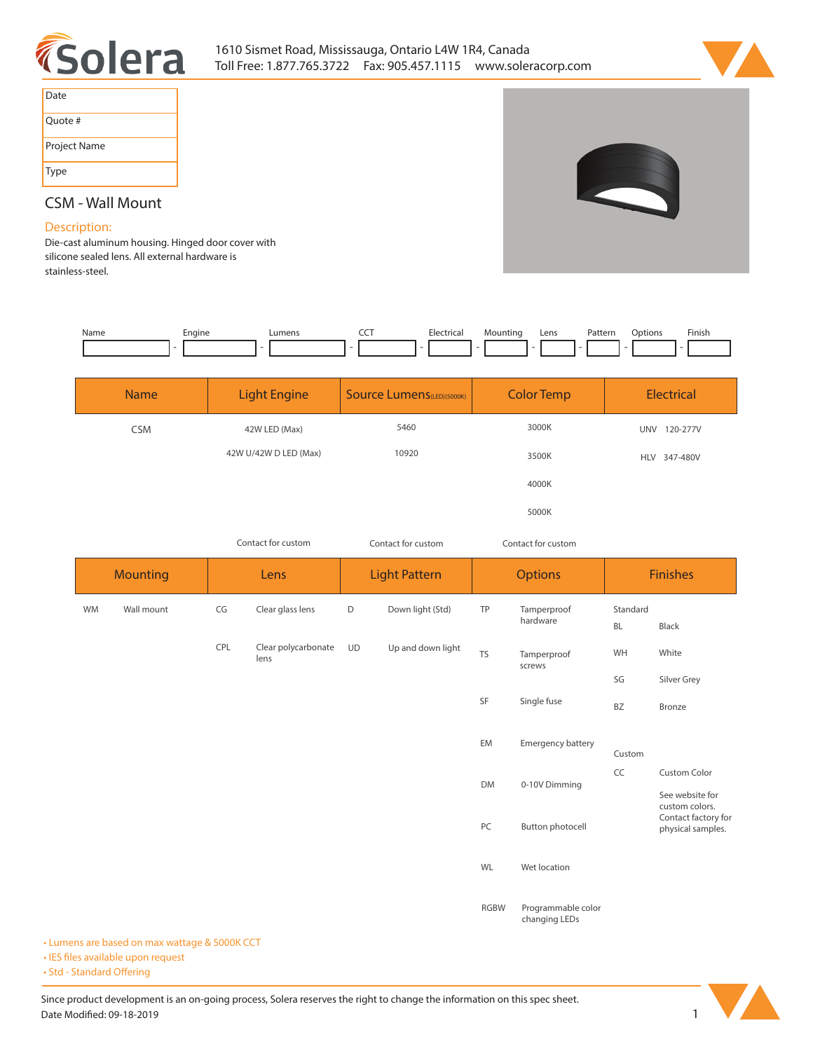



| Date         |
|--------------|
| Quote #      |
| Project Name |
| Type         |

## **CSM - Wall Mount**

## **Description:**

**Die-cast aluminum housing. Hinged door cover with silicone sealed lens. All external hardware is stainless-steel.** 

| Name | Engine | umens | Electrical | Mountina | Lens<br>$  -$ | Pattern<br>. | )ptions | Finish |
|------|--------|-------|------------|----------|---------------|--------------|---------|--------|
|      |        |       |            | -        |               | .            |         |        |

| <b>Name</b> | <b>Light Engine</b>   | <b>Source Lumens</b> (LED)(5000K) | <b>Color Temp</b> | <b>Electrical</b>      |
|-------------|-----------------------|-----------------------------------|-------------------|------------------------|
| <b>CSM</b>  | 42W LED (Max)         | 5460                              | 3000K             | <b>UNV</b><br>120-277V |
|             | 42W U/42W D LED (Max) | 10920                             | 3500K             | HLV 347-480V           |
|             |                       |                                   | 4000K             |                        |
|             |                       |                                   | 5000K             |                        |

*Contact for custom*

*Contact for custom Contact for custom*

|           | <b>Mounting</b><br>Lens |     | <b>Light Pattern</b>        |             | <b>Options</b>    |             | <b>Finishes</b>                     |                       |                                                            |
|-----------|-------------------------|-----|-----------------------------|-------------|-------------------|-------------|-------------------------------------|-----------------------|------------------------------------------------------------|
| <b>WM</b> | Wall mount              | CG  | Clear glass lens            | $\mathsf D$ | Down light (Std)  | TP          | Tamperproof<br>hardware             | Standard<br><b>BL</b> | Black                                                      |
|           |                         | CPL | Clear polycarbonate<br>lens | <b>UD</b>   | Up and down light | <b>TS</b>   | Tamperproof<br>screws               | WH                    | White                                                      |
|           |                         |     |                             |             |                   | SF          | Single fuse                         | SG<br>BZ              | Silver Grey<br>Bronze                                      |
|           |                         |     |                             |             |                   | EM          | Emergency battery                   | Custom                |                                                            |
|           |                         |     |                             |             |                   | <b>DM</b>   | 0-10V Dimming                       | CC                    | <b>Custom Color</b><br>See website for                     |
|           |                         |     |                             |             |                   | PC          | Button photocell                    |                       | custom colors.<br>Contact factory for<br>physical samples. |
|           |                         |     |                             |             |                   | WL          | Wet location                        |                       |                                                            |
|           |                         |     |                             |             |                   | <b>RGBW</b> | Programmable color<br>changing LEDs |                       |                                                            |

**• Lumens are based on max wattage & 5000K CCT**

**• IES files available upon request** 

• Std - Standard Offering

Since product development is an on-going process, Solera reserves the right to change the information on this spec sheet. **Date Modified: 09-18-2019** 1